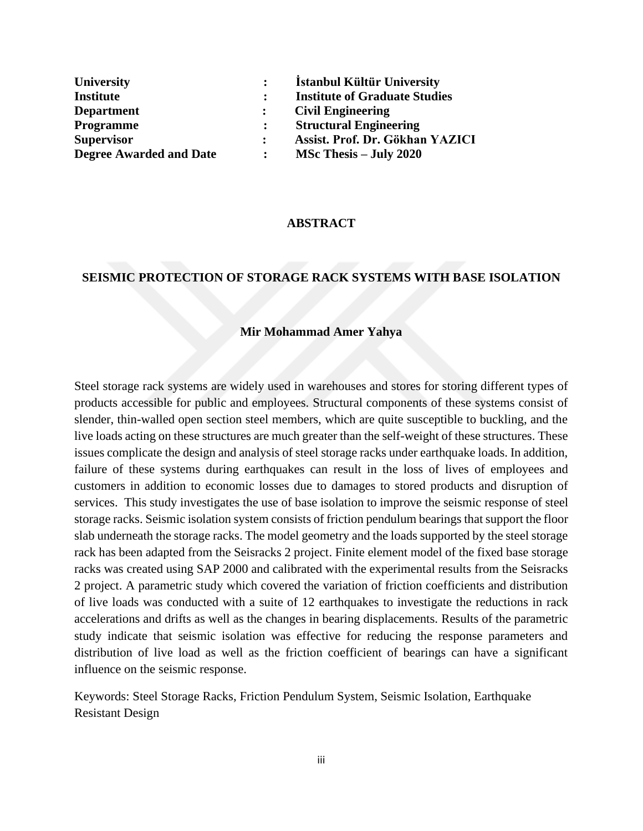| <b>University</b>              | Istanbul Kültür University           |
|--------------------------------|--------------------------------------|
| <b>Institute</b>               | <b>Institute of Graduate Studies</b> |
| <b>Department</b>              | <b>Civil Engineering</b>             |
| <b>Programme</b>               | <b>Structural Engineering</b>        |
| <b>Supervisor</b>              | Assist. Prof. Dr. Gökhan YAZICI      |
| <b>Degree Awarded and Date</b> | $MSc$ Thesis – July 2020             |

### **ABSTRACT**

## **SEISMIC PROTECTION OF STORAGE RACK SYSTEMS WITH BASE ISOLATION**

### **Mir Mohammad Amer Yahya**

Steel storage rack systems are widely used in warehouses and stores for storing different types of products accessible for public and employees. Structural components of these systems consist of slender, thin-walled open section steel members, which are quite susceptible to buckling, and the live loads acting on these structures are much greater than the self-weight of these structures. These issues complicate the design and analysis of steel storage racks under earthquake loads. In addition, failure of these systems during earthquakes can result in the loss of lives of employees and customers in addition to economic losses due to damages to stored products and disruption of services. This study investigates the use of base isolation to improve the seismic response of steel storage racks. Seismic isolation system consists of friction pendulum bearings that support the floor slab underneath the storage racks. The model geometry and the loads supported by the steel storage rack has been adapted from the Seisracks 2 project. Finite element model of the fixed base storage racks was created using SAP 2000 and calibrated with the experimental results from the Seisracks 2 project. A parametric study which covered the variation of friction coefficients and distribution of live loads was conducted with a suite of 12 earthquakes to investigate the reductions in rack accelerations and drifts as well as the changes in bearing displacements. Results of the parametric study indicate that seismic isolation was effective for reducing the response parameters and distribution of live load as well as the friction coefficient of bearings can have a significant influence on the seismic response.

Keywords: Steel Storage Racks, Friction Pendulum System, Seismic Isolation, Earthquake Resistant Design